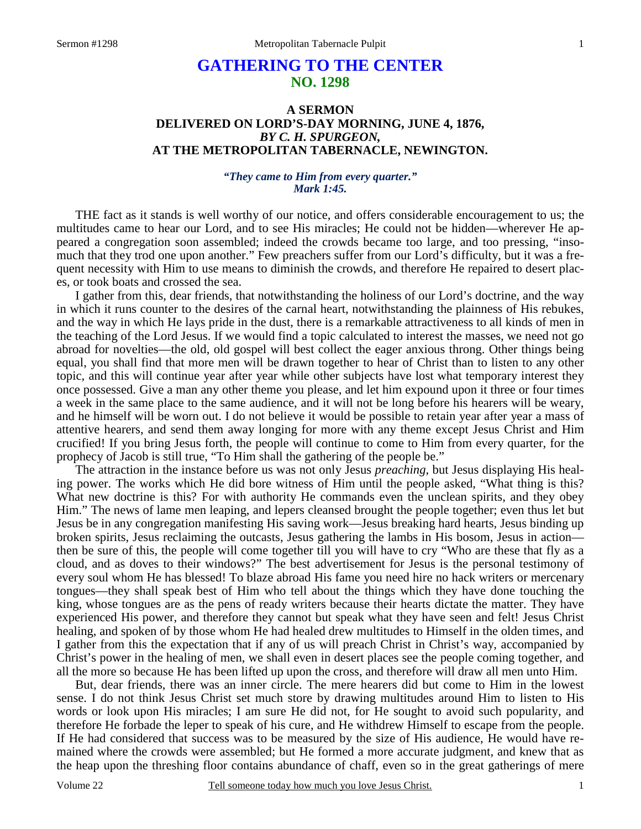# **GATHERING TO THE CENTER NO. 1298**

# **A SERMON DELIVERED ON LORD'S-DAY MORNING, JUNE 4, 1876,**  *BY C. H. SPURGEON,*  **AT THE METROPOLITAN TABERNACLE, NEWINGTON.**

### *"They came to Him from every quarter." Mark 1:45.*

THE fact as it stands is well worthy of our notice, and offers considerable encouragement to us; the multitudes came to hear our Lord, and to see His miracles; He could not be hidden—wherever He appeared a congregation soon assembled; indeed the crowds became too large, and too pressing, "insomuch that they trod one upon another." Few preachers suffer from our Lord's difficulty, but it was a frequent necessity with Him to use means to diminish the crowds, and therefore He repaired to desert places, or took boats and crossed the sea.

 I gather from this, dear friends, that notwithstanding the holiness of our Lord's doctrine, and the way in which it runs counter to the desires of the carnal heart, notwithstanding the plainness of His rebukes, and the way in which He lays pride in the dust, there is a remarkable attractiveness to all kinds of men in the teaching of the Lord Jesus. If we would find a topic calculated to interest the masses, we need not go abroad for novelties—the old, old gospel will best collect the eager anxious throng. Other things being equal, you shall find that more men will be drawn together to hear of Christ than to listen to any other topic, and this will continue year after year while other subjects have lost what temporary interest they once possessed. Give a man any other theme you please, and let him expound upon it three or four times a week in the same place to the same audience, and it will not be long before his hearers will be weary, and he himself will be worn out. I do not believe it would be possible to retain year after year a mass of attentive hearers, and send them away longing for more with any theme except Jesus Christ and Him crucified! If you bring Jesus forth, the people will continue to come to Him from every quarter, for the prophecy of Jacob is still true, "To Him shall the gathering of the people be."

 The attraction in the instance before us was not only Jesus *preaching*, but Jesus displaying His healing power. The works which He did bore witness of Him until the people asked, "What thing is this? What new doctrine is this? For with authority He commands even the unclean spirits, and they obey Him." The news of lame men leaping, and lepers cleansed brought the people together; even thus let but Jesus be in any congregation manifesting His saving work—Jesus breaking hard hearts, Jesus binding up broken spirits, Jesus reclaiming the outcasts, Jesus gathering the lambs in His bosom, Jesus in action then be sure of this, the people will come together till you will have to cry "Who are these that fly as a cloud, and as doves to their windows?" The best advertisement for Jesus is the personal testimony of every soul whom He has blessed! To blaze abroad His fame you need hire no hack writers or mercenary tongues—they shall speak best of Him who tell about the things which they have done touching the king, whose tongues are as the pens of ready writers because their hearts dictate the matter. They have experienced His power, and therefore they cannot but speak what they have seen and felt! Jesus Christ healing, and spoken of by those whom He had healed drew multitudes to Himself in the olden times, and I gather from this the expectation that if any of us will preach Christ in Christ's way, accompanied by Christ's power in the healing of men, we shall even in desert places see the people coming together, and all the more so because He has been lifted up upon the cross, and therefore will draw all men unto Him.

 But, dear friends, there was an inner circle. The mere hearers did but come to Him in the lowest sense. I do not think Jesus Christ set much store by drawing multitudes around Him to listen to His words or look upon His miracles; I am sure He did not, for He sought to avoid such popularity, and therefore He forbade the leper to speak of his cure, and He withdrew Himself to escape from the people. If He had considered that success was to be measured by the size of His audience, He would have remained where the crowds were assembled; but He formed a more accurate judgment, and knew that as the heap upon the threshing floor contains abundance of chaff, even so in the great gatherings of mere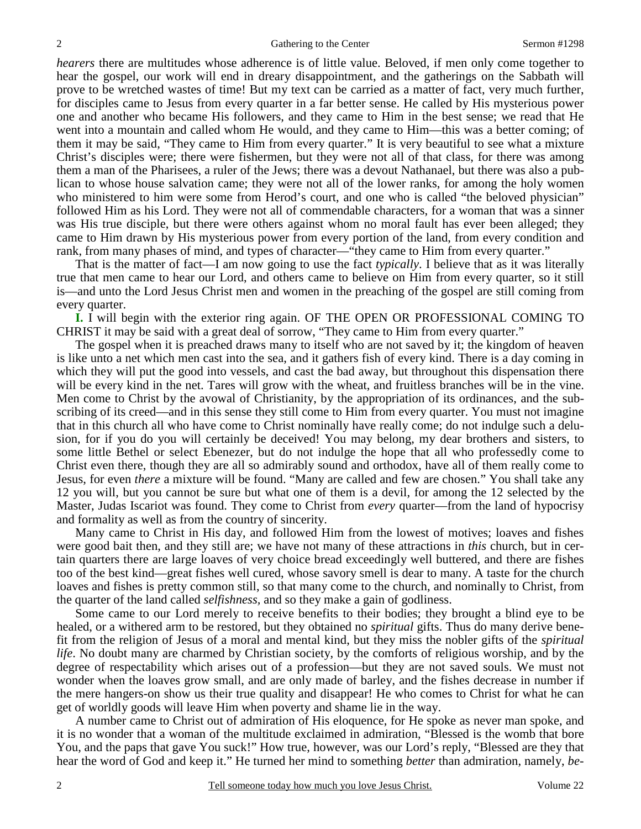*hearers* there are multitudes whose adherence is of little value. Beloved, if men only come together to hear the gospel, our work will end in dreary disappointment, and the gatherings on the Sabbath will prove to be wretched wastes of time! But my text can be carried as a matter of fact, very much further, for disciples came to Jesus from every quarter in a far better sense. He called by His mysterious power one and another who became His followers, and they came to Him in the best sense; we read that He went into a mountain and called whom He would, and they came to Him—this was a better coming; of them it may be said, "They came to Him from every quarter." It is very beautiful to see what a mixture Christ's disciples were; there were fishermen, but they were not all of that class, for there was among them a man of the Pharisees, a ruler of the Jews; there was a devout Nathanael, but there was also a publican to whose house salvation came; they were not all of the lower ranks, for among the holy women who ministered to him were some from Herod's court, and one who is called "the beloved physician" followed Him as his Lord. They were not all of commendable characters, for a woman that was a sinner was His true disciple, but there were others against whom no moral fault has ever been alleged; they came to Him drawn by His mysterious power from every portion of the land, from every condition and rank, from many phases of mind, and types of character—"they came to Him from every quarter."

 That is the matter of fact—I am now going to use the fact *typically*. I believe that as it was literally true that men came to hear our Lord, and others came to believe on Him from every quarter, so it still is—and unto the Lord Jesus Christ men and women in the preaching of the gospel are still coming from every quarter.

**I.** I will begin with the exterior ring again. OF THE OPEN OR PROFESSIONAL COMING TO CHRIST it may be said with a great deal of sorrow, "They came to Him from every quarter."

 The gospel when it is preached draws many to itself who are not saved by it; the kingdom of heaven is like unto a net which men cast into the sea, and it gathers fish of every kind. There is a day coming in which they will put the good into vessels, and cast the bad away, but throughout this dispensation there will be every kind in the net. Tares will grow with the wheat, and fruitless branches will be in the vine. Men come to Christ by the avowal of Christianity, by the appropriation of its ordinances, and the subscribing of its creed—and in this sense they still come to Him from every quarter. You must not imagine that in this church all who have come to Christ nominally have really come; do not indulge such a delusion, for if you do you will certainly be deceived! You may belong, my dear brothers and sisters, to some little Bethel or select Ebenezer, but do not indulge the hope that all who professedly come to Christ even there, though they are all so admirably sound and orthodox, have all of them really come to Jesus, for even *there* a mixture will be found. "Many are called and few are chosen." You shall take any 12 you will, but you cannot be sure but what one of them is a devil, for among the 12 selected by the Master, Judas Iscariot was found. They come to Christ from *every* quarter—from the land of hypocrisy and formality as well as from the country of sincerity.

 Many came to Christ in His day, and followed Him from the lowest of motives; loaves and fishes were good bait then, and they still are; we have not many of these attractions in *this* church, but in certain quarters there are large loaves of very choice bread exceedingly well buttered, and there are fishes too of the best kind—great fishes well cured, whose savory smell is dear to many. A taste for the church loaves and fishes is pretty common still, so that many come to the church, and nominally to Christ, from the quarter of the land called *selfishness,* and so they make a gain of godliness.

 Some came to our Lord merely to receive benefits to their bodies; they brought a blind eye to be healed, or a withered arm to be restored, but they obtained no *spiritual* gifts. Thus do many derive benefit from the religion of Jesus of a moral and mental kind, but they miss the nobler gifts of the *spiritual life*. No doubt many are charmed by Christian society, by the comforts of religious worship, and by the degree of respectability which arises out of a profession—but they are not saved souls. We must not wonder when the loaves grow small, and are only made of barley, and the fishes decrease in number if the mere hangers-on show us their true quality and disappear! He who comes to Christ for what he can get of worldly goods will leave Him when poverty and shame lie in the way.

 A number came to Christ out of admiration of His eloquence, for He spoke as never man spoke, and it is no wonder that a woman of the multitude exclaimed in admiration, "Blessed is the womb that bore You, and the paps that gave You suck!" How true, however, was our Lord's reply, "Blessed are they that hear the word of God and keep it." He turned her mind to something *better* than admiration, namely, *be-*

2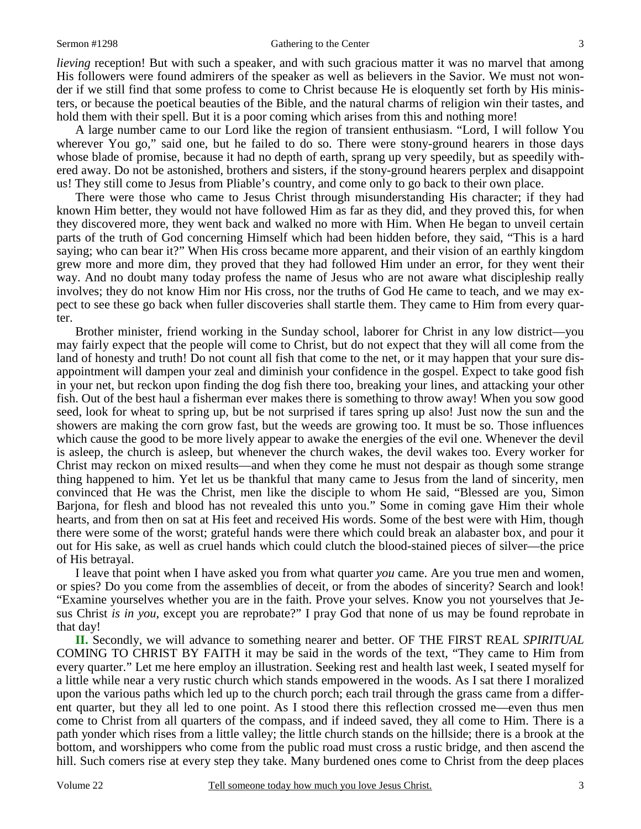#### Sermon #1298 Gathering to the Center

*lieving* reception! But with such a speaker, and with such gracious matter it was no marvel that among His followers were found admirers of the speaker as well as believers in the Savior. We must not wonder if we still find that some profess to come to Christ because He is eloquently set forth by His ministers, or because the poetical beauties of the Bible, and the natural charms of religion win their tastes, and hold them with their spell. But it is a poor coming which arises from this and nothing more!

 A large number came to our Lord like the region of transient enthusiasm. "Lord, I will follow You wherever You go," said one, but he failed to do so. There were stony-ground hearers in those days whose blade of promise, because it had no depth of earth, sprang up very speedily, but as speedily withered away. Do not be astonished, brothers and sisters, if the stony-ground hearers perplex and disappoint us! They still come to Jesus from Pliable's country, and come only to go back to their own place.

 There were those who came to Jesus Christ through misunderstanding His character; if they had known Him better, they would not have followed Him as far as they did, and they proved this, for when they discovered more, they went back and walked no more with Him. When He began to unveil certain parts of the truth of God concerning Himself which had been hidden before, they said, "This is a hard saying; who can bear it?" When His cross became more apparent, and their vision of an earthly kingdom grew more and more dim, they proved that they had followed Him under an error, for they went their way. And no doubt many today profess the name of Jesus who are not aware what discipleship really involves; they do not know Him nor His cross, nor the truths of God He came to teach, and we may expect to see these go back when fuller discoveries shall startle them. They came to Him from every quarter.

 Brother minister, friend working in the Sunday school, laborer for Christ in any low district—you may fairly expect that the people will come to Christ, but do not expect that they will all come from the land of honesty and truth! Do not count all fish that come to the net, or it may happen that your sure disappointment will dampen your zeal and diminish your confidence in the gospel. Expect to take good fish in your net, but reckon upon finding the dog fish there too, breaking your lines, and attacking your other fish. Out of the best haul a fisherman ever makes there is something to throw away! When you sow good seed, look for wheat to spring up, but be not surprised if tares spring up also! Just now the sun and the showers are making the corn grow fast, but the weeds are growing too. It must be so. Those influences which cause the good to be more lively appear to awake the energies of the evil one. Whenever the devil is asleep, the church is asleep, but whenever the church wakes, the devil wakes too. Every worker for Christ may reckon on mixed results—and when they come he must not despair as though some strange thing happened to him. Yet let us be thankful that many came to Jesus from the land of sincerity, men convinced that He was the Christ, men like the disciple to whom He said, "Blessed are you, Simon Barjona, for flesh and blood has not revealed this unto you." Some in coming gave Him their whole hearts, and from then on sat at His feet and received His words. Some of the best were with Him, though there were some of the worst; grateful hands were there which could break an alabaster box, and pour it out for His sake, as well as cruel hands which could clutch the blood-stained pieces of silver—the price of His betrayal.

 I leave that point when I have asked you from what quarter *you* came. Are you true men and women, or spies? Do you come from the assemblies of deceit, or from the abodes of sincerity? Search and look! "Examine yourselves whether you are in the faith. Prove your selves. Know you not yourselves that Jesus Christ *is in you,* except you are reprobate?" I pray God that none of us may be found reprobate in that day!

**II.** Secondly, we will advance to something nearer and better. OF THE FIRST REAL *SPIRITUAL* COMING TO CHRIST BY FAITH it may be said in the words of the text, "They came to Him from every quarter." Let me here employ an illustration. Seeking rest and health last week, I seated myself for a little while near a very rustic church which stands empowered in the woods. As I sat there I moralized upon the various paths which led up to the church porch; each trail through the grass came from a different quarter, but they all led to one point. As I stood there this reflection crossed me—even thus men come to Christ from all quarters of the compass, and if indeed saved, they all come to Him. There is a path yonder which rises from a little valley; the little church stands on the hillside; there is a brook at the bottom, and worshippers who come from the public road must cross a rustic bridge, and then ascend the hill. Such comers rise at every step they take. Many burdened ones come to Christ from the deep places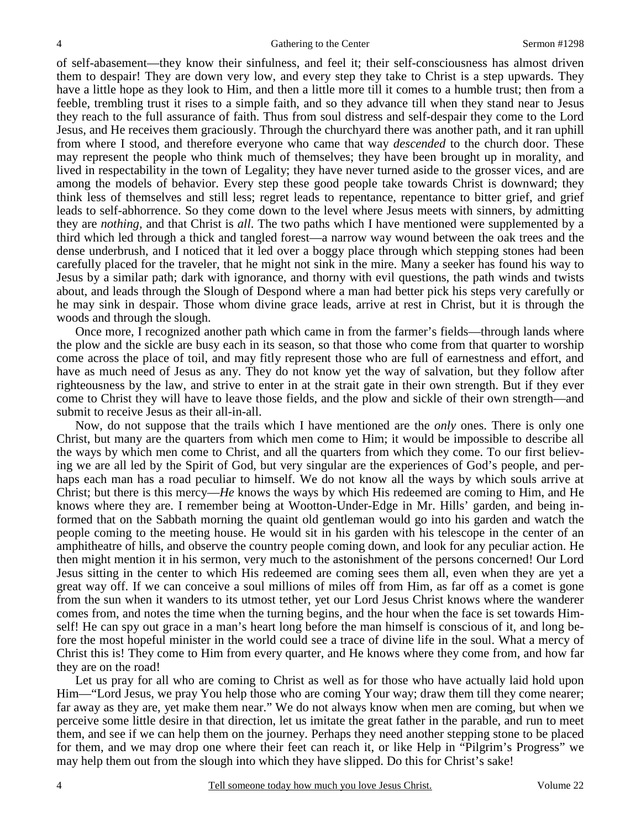of self-abasement—they know their sinfulness, and feel it; their self-consciousness has almost driven them to despair! They are down very low, and every step they take to Christ is a step upwards. They have a little hope as they look to Him, and then a little more till it comes to a humble trust; then from a feeble, trembling trust it rises to a simple faith, and so they advance till when they stand near to Jesus they reach to the full assurance of faith. Thus from soul distress and self-despair they come to the Lord Jesus, and He receives them graciously. Through the churchyard there was another path, and it ran uphill from where I stood, and therefore everyone who came that way *descended* to the church door. These may represent the people who think much of themselves; they have been brought up in morality, and lived in respectability in the town of Legality; they have never turned aside to the grosser vices, and are among the models of behavior. Every step these good people take towards Christ is downward; they think less of themselves and still less; regret leads to repentance, repentance to bitter grief, and grief leads to self-abhorrence. So they come down to the level where Jesus meets with sinners, by admitting they are *nothing,* and that Christ is *all*. The two paths which I have mentioned were supplemented by a third which led through a thick and tangled forest—a narrow way wound between the oak trees and the dense underbrush, and I noticed that it led over a boggy place through which stepping stones had been carefully placed for the traveler, that he might not sink in the mire. Many a seeker has found his way to Jesus by a similar path; dark with ignorance, and thorny with evil questions, the path winds and twists about, and leads through the Slough of Despond where a man had better pick his steps very carefully or he may sink in despair. Those whom divine grace leads, arrive at rest in Christ, but it is through the woods and through the slough.

 Once more, I recognized another path which came in from the farmer's fields—through lands where the plow and the sickle are busy each in its season, so that those who come from that quarter to worship come across the place of toil, and may fitly represent those who are full of earnestness and effort, and have as much need of Jesus as any. They do not know yet the way of salvation, but they follow after righteousness by the law, and strive to enter in at the strait gate in their own strength. But if they ever come to Christ they will have to leave those fields, and the plow and sickle of their own strength—and submit to receive Jesus as their all-in-all.

 Now, do not suppose that the trails which I have mentioned are the *only* ones. There is only one Christ, but many are the quarters from which men come to Him; it would be impossible to describe all the ways by which men come to Christ, and all the quarters from which they come. To our first believing we are all led by the Spirit of God, but very singular are the experiences of God's people, and perhaps each man has a road peculiar to himself. We do not know all the ways by which souls arrive at Christ; but there is this mercy—*He* knows the ways by which His redeemed are coming to Him, and He knows where they are. I remember being at Wootton-Under-Edge in Mr. Hills' garden, and being informed that on the Sabbath morning the quaint old gentleman would go into his garden and watch the people coming to the meeting house. He would sit in his garden with his telescope in the center of an amphitheatre of hills, and observe the country people coming down, and look for any peculiar action. He then might mention it in his sermon, very much to the astonishment of the persons concerned! Our Lord Jesus sitting in the center to which His redeemed are coming sees them all, even when they are yet a great way off. If we can conceive a soul millions of miles off from Him, as far off as a comet is gone from the sun when it wanders to its utmost tether, yet our Lord Jesus Christ knows where the wanderer comes from, and notes the time when the turning begins, and the hour when the face is set towards Himself! He can spy out grace in a man's heart long before the man himself is conscious of it, and long before the most hopeful minister in the world could see a trace of divine life in the soul. What a mercy of Christ this is! They come to Him from every quarter, and He knows where they come from, and how far they are on the road!

 Let us pray for all who are coming to Christ as well as for those who have actually laid hold upon Him—"Lord Jesus, we pray You help those who are coming Your way; draw them till they come nearer; far away as they are, yet make them near." We do not always know when men are coming, but when we perceive some little desire in that direction, let us imitate the great father in the parable, and run to meet them, and see if we can help them on the journey. Perhaps they need another stepping stone to be placed for them, and we may drop one where their feet can reach it, or like Help in "Pilgrim's Progress" we may help them out from the slough into which they have slipped. Do this for Christ's sake!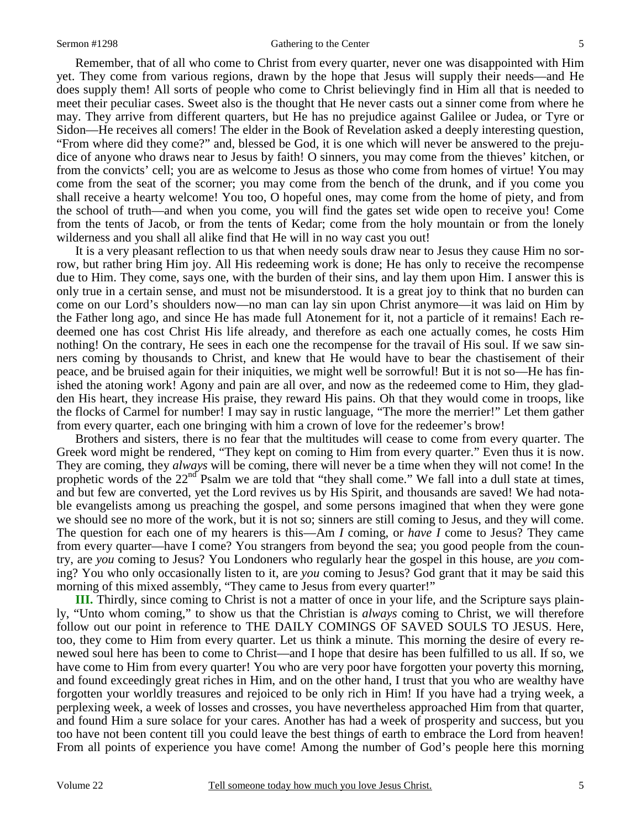#### Sermon #1298 Gathering to the Center

 Remember, that of all who come to Christ from every quarter, never one was disappointed with Him yet. They come from various regions, drawn by the hope that Jesus will supply their needs—and He does supply them! All sorts of people who come to Christ believingly find in Him all that is needed to meet their peculiar cases. Sweet also is the thought that He never casts out a sinner come from where he may. They arrive from different quarters, but He has no prejudice against Galilee or Judea, or Tyre or Sidon—He receives all comers! The elder in the Book of Revelation asked a deeply interesting question, "From where did they come?" and, blessed be God, it is one which will never be answered to the prejudice of anyone who draws near to Jesus by faith! O sinners, you may come from the thieves' kitchen, or from the convicts' cell; you are as welcome to Jesus as those who come from homes of virtue! You may come from the seat of the scorner; you may come from the bench of the drunk, and if you come you shall receive a hearty welcome! You too, O hopeful ones, may come from the home of piety, and from the school of truth—and when you come, you will find the gates set wide open to receive you! Come from the tents of Jacob, or from the tents of Kedar; come from the holy mountain or from the lonely wilderness and you shall all alike find that He will in no way cast you out!

 It is a very pleasant reflection to us that when needy souls draw near to Jesus they cause Him no sorrow, but rather bring Him joy. All His redeeming work is done; He has only to receive the recompense due to Him. They come, says one, with the burden of their sins, and lay them upon Him. I answer this is only true in a certain sense, and must not be misunderstood. It is a great joy to think that no burden can come on our Lord's shoulders now—no man can lay sin upon Christ anymore—it was laid on Him by the Father long ago, and since He has made full Atonement for it, not a particle of it remains! Each redeemed one has cost Christ His life already, and therefore as each one actually comes, he costs Him nothing! On the contrary, He sees in each one the recompense for the travail of His soul. If we saw sinners coming by thousands to Christ, and knew that He would have to bear the chastisement of their peace, and be bruised again for their iniquities, we might well be sorrowful! But it is not so—He has finished the atoning work! Agony and pain are all over, and now as the redeemed come to Him, they gladden His heart, they increase His praise, they reward His pains. Oh that they would come in troops, like the flocks of Carmel for number! I may say in rustic language, "The more the merrier!" Let them gather from every quarter, each one bringing with him a crown of love for the redeemer's brow!

 Brothers and sisters, there is no fear that the multitudes will cease to come from every quarter. The Greek word might be rendered, "They kept on coming to Him from every quarter." Even thus it is now. They are coming, they *always* will be coming, there will never be a time when they will not come! In the prophetic words of the  $22<sup>nd</sup>$  Psalm we are told that "they shall come." We fall into a dull state at times, and but few are converted, yet the Lord revives us by His Spirit, and thousands are saved! We had notable evangelists among us preaching the gospel, and some persons imagined that when they were gone we should see no more of the work, but it is not so; sinners are still coming to Jesus, and they will come. The question for each one of my hearers is this—Am *I* coming, or *have I* come to Jesus? They came from every quarter—have I come? You strangers from beyond the sea; you good people from the country, are *you* coming to Jesus? You Londoners who regularly hear the gospel in this house, are *you* coming? You who only occasionally listen to it, are *you* coming to Jesus? God grant that it may be said this morning of this mixed assembly, "They came to Jesus from every quarter!"

**III.** Thirdly, since coming to Christ is not a matter of once in your life, and the Scripture says plainly, "Unto whom coming," to show us that the Christian is *always* coming to Christ, we will therefore follow out our point in reference to THE DAILY COMINGS OF SAVED SOULS TO JESUS. Here, too, they come to Him from every quarter. Let us think a minute. This morning the desire of every renewed soul here has been to come to Christ—and I hope that desire has been fulfilled to us all. If so, we have come to Him from every quarter! You who are very poor have forgotten your poverty this morning, and found exceedingly great riches in Him, and on the other hand, I trust that you who are wealthy have forgotten your worldly treasures and rejoiced to be only rich in Him! If you have had a trying week, a perplexing week, a week of losses and crosses, you have nevertheless approached Him from that quarter, and found Him a sure solace for your cares. Another has had a week of prosperity and success, but you too have not been content till you could leave the best things of earth to embrace the Lord from heaven! From all points of experience you have come! Among the number of God's people here this morning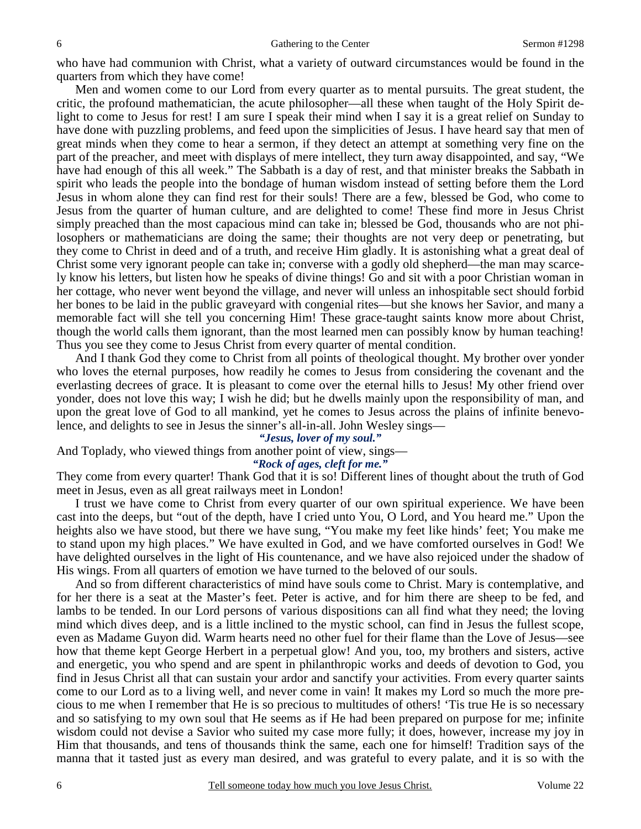who have had communion with Christ, what a variety of outward circumstances would be found in the quarters from which they have come!

 Men and women come to our Lord from every quarter as to mental pursuits. The great student, the critic, the profound mathematician, the acute philosopher—all these when taught of the Holy Spirit delight to come to Jesus for rest! I am sure I speak their mind when I say it is a great relief on Sunday to have done with puzzling problems, and feed upon the simplicities of Jesus. I have heard say that men of great minds when they come to hear a sermon, if they detect an attempt at something very fine on the part of the preacher, and meet with displays of mere intellect, they turn away disappointed, and say, "We have had enough of this all week." The Sabbath is a day of rest, and that minister breaks the Sabbath in spirit who leads the people into the bondage of human wisdom instead of setting before them the Lord Jesus in whom alone they can find rest for their souls! There are a few, blessed be God, who come to Jesus from the quarter of human culture, and are delighted to come! These find more in Jesus Christ simply preached than the most capacious mind can take in; blessed be God, thousands who are not philosophers or mathematicians are doing the same; their thoughts are not very deep or penetrating, but they come to Christ in deed and of a truth, and receive Him gladly. It is astonishing what a great deal of Christ some very ignorant people can take in; converse with a godly old shepherd—the man may scarcely know his letters, but listen how he speaks of divine things! Go and sit with a poor Christian woman in her cottage, who never went beyond the village, and never will unless an inhospitable sect should forbid her bones to be laid in the public graveyard with congenial rites—but she knows her Savior, and many a memorable fact will she tell you concerning Him! These grace-taught saints know more about Christ, though the world calls them ignorant, than the most learned men can possibly know by human teaching! Thus you see they come to Jesus Christ from every quarter of mental condition.

 And I thank God they come to Christ from all points of theological thought. My brother over yonder who loves the eternal purposes, how readily he comes to Jesus from considering the covenant and the everlasting decrees of grace. It is pleasant to come over the eternal hills to Jesus! My other friend over yonder, does not love this way; I wish he did; but he dwells mainly upon the responsibility of man, and upon the great love of God to all mankind, yet he comes to Jesus across the plains of infinite benevolence, and delights to see in Jesus the sinner's all-in-all. John Wesley sings—

# *"Jesus, lover of my soul."*

And Toplady, who viewed things from another point of view, sings—

*"Rock of ages, cleft for me."* 

They come from every quarter! Thank God that it is so! Different lines of thought about the truth of God meet in Jesus, even as all great railways meet in London!

 I trust we have come to Christ from every quarter of our own spiritual experience. We have been cast into the deeps, but "out of the depth, have I cried unto You, O Lord, and You heard me." Upon the heights also we have stood, but there we have sung, "You make my feet like hinds' feet; You make me to stand upon my high places." We have exulted in God, and we have comforted ourselves in God! We have delighted ourselves in the light of His countenance, and we have also rejoiced under the shadow of His wings. From all quarters of emotion we have turned to the beloved of our souls.

 And so from different characteristics of mind have souls come to Christ. Mary is contemplative, and for her there is a seat at the Master's feet. Peter is active, and for him there are sheep to be fed, and lambs to be tended. In our Lord persons of various dispositions can all find what they need; the loving mind which dives deep, and is a little inclined to the mystic school, can find in Jesus the fullest scope, even as Madame Guyon did. Warm hearts need no other fuel for their flame than the Love of Jesus—see how that theme kept George Herbert in a perpetual glow! And you, too, my brothers and sisters, active and energetic, you who spend and are spent in philanthropic works and deeds of devotion to God, you find in Jesus Christ all that can sustain your ardor and sanctify your activities. From every quarter saints come to our Lord as to a living well, and never come in vain! It makes my Lord so much the more precious to me when I remember that He is so precious to multitudes of others! 'Tis true He is so necessary and so satisfying to my own soul that He seems as if He had been prepared on purpose for me; infinite wisdom could not devise a Savior who suited my case more fully; it does, however, increase my joy in Him that thousands, and tens of thousands think the same, each one for himself! Tradition says of the manna that it tasted just as every man desired, and was grateful to every palate, and it is so with the

6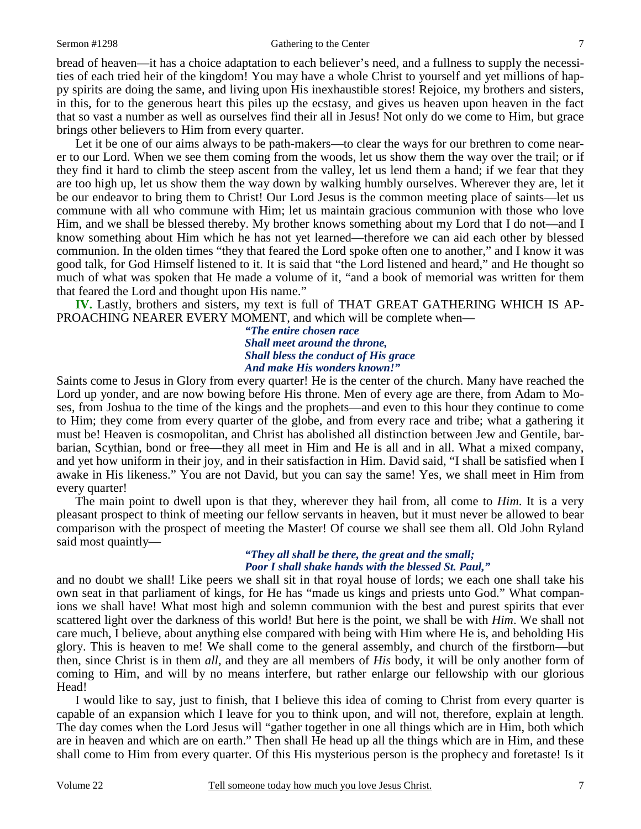#### Sermon #1298 Gathering to the Center

bread of heaven—it has a choice adaptation to each believer's need, and a fullness to supply the necessities of each tried heir of the kingdom! You may have a whole Christ to yourself and yet millions of happy spirits are doing the same, and living upon His inexhaustible stores! Rejoice, my brothers and sisters, in this, for to the generous heart this piles up the ecstasy, and gives us heaven upon heaven in the fact that so vast a number as well as ourselves find their all in Jesus! Not only do we come to Him, but grace brings other believers to Him from every quarter.

Let it be one of our aims always to be path-makers—to clear the ways for our brethren to come nearer to our Lord. When we see them coming from the woods, let us show them the way over the trail; or if they find it hard to climb the steep ascent from the valley, let us lend them a hand; if we fear that they are too high up, let us show them the way down by walking humbly ourselves. Wherever they are, let it be our endeavor to bring them to Christ! Our Lord Jesus is the common meeting place of saints—let us commune with all who commune with Him; let us maintain gracious communion with those who love Him, and we shall be blessed thereby. My brother knows something about my Lord that I do not—and I know something about Him which he has not yet learned—therefore we can aid each other by blessed communion. In the olden times "they that feared the Lord spoke often one to another," and I know it was good talk, for God Himself listened to it. It is said that "the Lord listened and heard," and He thought so much of what was spoken that He made a volume of it, "and a book of memorial was written for them that feared the Lord and thought upon His name."

**IV.** Lastly, brothers and sisters, my text is full of THAT GREAT GATHERING WHICH IS AP-PROACHING NEARER EVERY MOMENT, and which will be complete when—

*"The entire chosen race Shall meet around the throne, Shall bless the conduct of His grace And make His wonders known!"* 

Saints come to Jesus in Glory from every quarter! He is the center of the church. Many have reached the Lord up yonder, and are now bowing before His throne. Men of every age are there, from Adam to Moses, from Joshua to the time of the kings and the prophets—and even to this hour they continue to come to Him; they come from every quarter of the globe, and from every race and tribe; what a gathering it must be! Heaven is cosmopolitan, and Christ has abolished all distinction between Jew and Gentile, barbarian, Scythian, bond or free—they all meet in Him and He is all and in all. What a mixed company, and yet how uniform in their joy, and in their satisfaction in Him. David said, "I shall be satisfied when I awake in His likeness." You are not David, but you can say the same! Yes, we shall meet in Him from every quarter!

 The main point to dwell upon is that they, wherever they hail from, all come to *Him*. It is a very pleasant prospect to think of meeting our fellow servants in heaven, but it must never be allowed to bear comparison with the prospect of meeting the Master! Of course we shall see them all. Old John Ryland said most quaintly—

### *"They all shall be there, the great and the small; Poor I shall shake hands with the blessed St. Paul,"*

and no doubt we shall! Like peers we shall sit in that royal house of lords; we each one shall take his own seat in that parliament of kings, for He has "made us kings and priests unto God." What companions we shall have! What most high and solemn communion with the best and purest spirits that ever scattered light over the darkness of this world! But here is the point, we shall be with *Him*. We shall not care much, I believe, about anything else compared with being with Him where He is, and beholding His glory. This is heaven to me! We shall come to the general assembly, and church of the firstborn—but then, since Christ is in them *all,* and they are all members of *His* body, it will be only another form of coming to Him, and will by no means interfere, but rather enlarge our fellowship with our glorious Head!

 I would like to say, just to finish, that I believe this idea of coming to Christ from every quarter is capable of an expansion which I leave for you to think upon, and will not, therefore, explain at length. The day comes when the Lord Jesus will "gather together in one all things which are in Him, both which are in heaven and which are on earth." Then shall He head up all the things which are in Him, and these shall come to Him from every quarter. Of this His mysterious person is the prophecy and foretaste! Is it